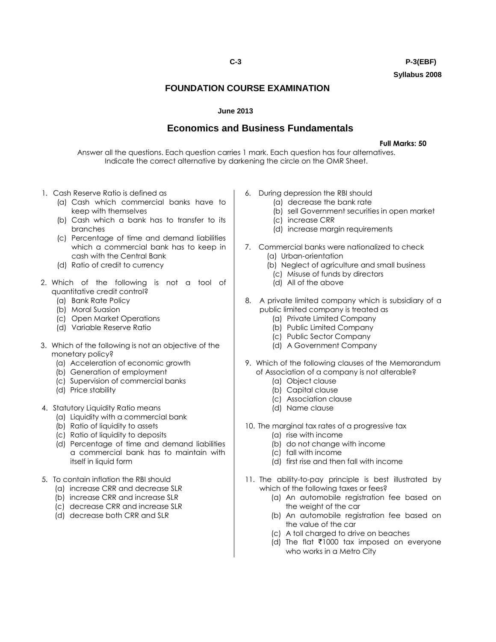**C-3 P-3(EBF) Syllabus 2008**

## **FOUNDATION COURSE EXAMINATION**

## **June 2013**

## **Economics and Business Fundamentals**

**Full Marks: 50**

Answer all the questions. Each question carries 1 mark. Each question has four alternatives. Indicate the correct alternative by darkening the circle on the OMR Sheet.

- 1. Cash Reserve Ratio is defined as
	- (a) Cash which commercial banks have to keep with themselves
	- (b) Cash which a bank has to transfer to its branches
	- (c) Percentage of time and demand liabilities which a commercial bank has to keep in cash with the Central Bank
	- (d) Ratio of credit to currency
- 2. Which of the following is not a tool of quantitative credit control?
	- (a) Bank Rate Policy
	- (b) Moral Suasion
	- (c) Open Market Operations
	- (d) Variable Reserve Ratio
- 3. Which of the following is not an objective of the monetary policy?
	- (a) Acceleration of economic growth
	- (b) Generation of employment
	- (c) Supervision of commercial banks
	- (d) Price stability
- 4. Statutory Liquidity Ratio means
	- (a) Liquidity with a commercial bank
	- (b) Ratio of liquidity to assets
	- (c) Ratio of liquidity to deposits
	- (d) Percentage of time and demand liabilities a commercial bank has to maintain with itself in liquid form
- 5. To contain inflation the RBI should
	- (a) increase CRR and decrease SLR
	- (b) increase CRR and increase SLR
	- (c) decrease CRR and increase SLR
	- (d) decrease both CRR and SLR
- 6. During depression the RBI should
	- (a) decrease the bank rate
	- (b) sell Government securities in open market
	- (c) increase CRR
	- (d) increase margin requirements
- 7. Commercial banks were nationalized to check (a) Urban-orientation
	- (b) Neglect of agriculture and small business
	- (c) Misuse of funds by directors
	- (d) All of the above
- 8. A private limited company which is subsidiary of a public limited company is treated as
	- (a) Private Limited Company
	- (b) Public Limited Company
	- (c) Public Sector Company
	- (d) A Government Company
- 9. Which of the following clauses of the Memorandum of Association of a company is not alterable?
	- (a) Object clause
	- (b) Capital clause
	- (c) Association clause
	- (d) Name clause
- 10. The marginal tax rates of a progressive tax
	- (a) rise with income
	- (b) do not change with income
	- (c) fall with income
	- (d) first rise and then fall with income
- 11. The ability-to-pay principle is best illustrated by which of the following taxes or fees?
	- (a) An automobile registration fee based on the weight of the car
	- (b) An automobile registration fee based on the value of the car
	- (c) A toll charged to drive on beaches
	- (d) The flat  $\bar{\tau}$ 1000 tax imposed on everyone who works in a Metro City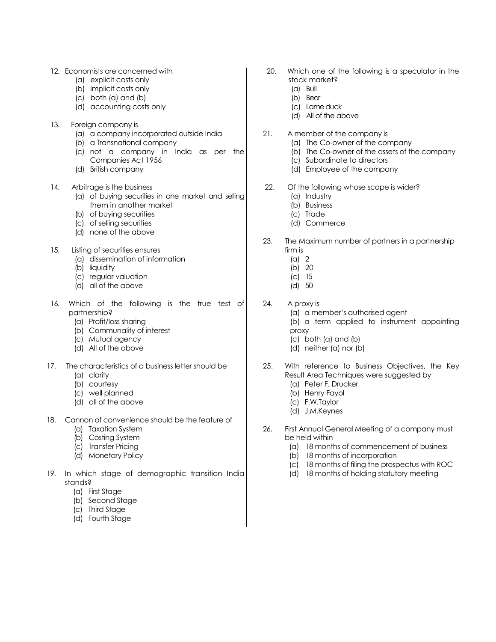- 12. Economists are concerned with
	- (a) explicit costs only
	- (b) implicit costs only
	- (c) both (a) and (b)
	- (d) accounting costs only
- 13. Foreign company is
	- (a) a company incorporated outside India
	- (b) a Transnational company
	- (c) not a company in India as per the Companies Act 1956
	- (d) British company
- 14. Arbitrage is the business
	- (a) of buying securities in one market and selling them in another market
	- (b) of buying securities
	- (c) of selling securities
	- (d) none of the above
- 15. Listing of securities ensures
	- (a) dissemination of information
	- (b) liquidity
	- (c) regular valuation
	- (d) all of the above
- 16. Which of the following is the true test of partnership?
	- (a) Profit/loss sharing
	- (b) Communality of interest
	- (c) Mutual agency
	- (d) All of the above
- 17. The characteristics of a business letter should be
	- (a) clarity
	- (b) courtesy
	- (c) well planned
	- (d) all of the above
- 18. Cannon of convenience should be the feature of
	- (a) Taxation System
	- (b) Costing System
	- (c) Transfer Pricing
	- (d) Monetary Policy
- 19. In which stage of demographic transition India stands?
	- (a) First Stage
	- (b) Second Stage
	- (c) Third Stage
	- (d) Fourth Stage
- 20. Which one of the following is a speculator in the stock market?
	- (a) Bull
	- (b) Bear
	- (c) Lame duck (d) All of the above
- 21. A member of the company is
	- (a) The Co-owner of the company
	- (b) The Co-owner of the assets of the company
	- (c) Subordinate to directors
	- (d) Employee of the company
- 22. Of the following whose scope is wider?
	- (a) Industry
	- (b) Business
	- (c) Trade
	- (d) Commerce
- 23. The Maximum number of partners in a partnership firm is
	- (a) 2
	- (b) 20
	- (c) 15
	- (d) 50
- 24. A proxy is
	- (a) a member"s authorised agent
	- (b) a term applied to instrument appointing proxy
	- (c) both (a) and (b)
	- (d) neither (a) nor (b)
- 25. With reference to Business Objectives, the Key Result Area Techniques were suggested by
	- (a) Peter F. Drucker
	- (b) Henry Fayol
	- (c) F.W.Taylor
	- (d) J.M.Keynes
- 26. First Annual General Meeting of a company must be held within
	- (a) 18 months of commencement of business
	- (b) 18 months of incorporation
	- (c) 18 months of filing the prospectus with ROC
	- (d) 18 months of holding statutory meeting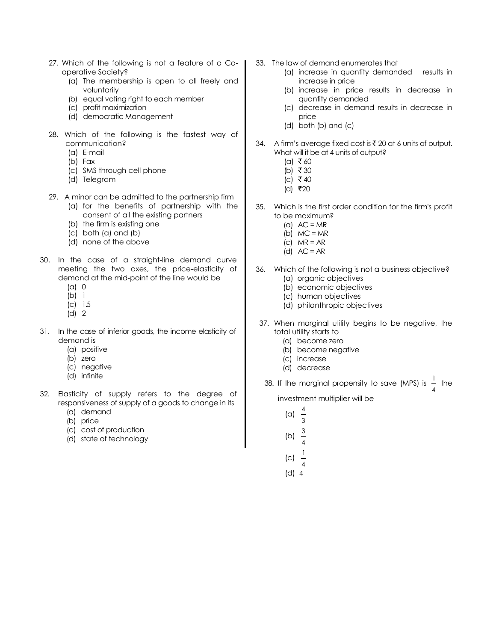- 27. Which of the following is not a feature of a Cooperative Society?
	- (a) The membership is open to all freely and voluntarily
	- (b) equal voting right to each member
	- (c) profit maximization
	- (d) democratic Management
- 28. Which of the following is the fastest way of communication?
	- (a) E-mail
	- (b) Fax
	- (c) SMS through cell phone
	- (d) Telegram
- 29. A minor can be admitted to the partnership firm
	- (a) for the benefits of partnership with the consent of all the existing partners
	- (b) the firm is existing one
	- (c) both (a) and (b)
	- (d) none of the above
- 30. In the case of a straight-line demand curve meeting the two axes, the price-elasticity of demand at the mid-point of the line would be
	- (a) 0
	- (b) 1
	- (c) 1.5 (d) 2
	-
- 31. In the case of inferior goods, the income elasticity of demand is
	- (a) positive
	- (b) zero
	- (c) negative
	- (d) infinite
- 32. Elasticity of supply refers to the degree of responsiveness of supply of a goods to change in its
	- (a) demand
	- (b) price
	- (c) cost of production
	- (d) state of technology
- 33. The law of demand enumerates that
	- (a) increase in quantity demanded results in increase in price
	- (b) increase in price results in decrease in quantity demanded
	- (c) decrease in demand results in decrease in price
	- (d) both (b) and (c)
- 34. A firm's average fixed cost is  $\bar{\tau}$  20 at 6 units of output. What will it be at 4 units of output?
	- $(a)$  ₹60
	- (b) ₹ 30
	- (c) ₹40
	- $(d)$  ₹20
- 35. Which is the first order condition for the firm's profit to be maximum?
	- (a)  $AC = MR$
	- (b)  $MC = MR$
	- (c)  $MR = AR$
	- (d)  $AC = AR$
- 36. Which of the following is not a business objective? (a) organic objectives
	- (b) economic objectives
	- (c) human objectives
	- (d) philanthropic objectives
- 37. When marginal utility begins to be negative, the total utility starts to
	- (a) become zero
	- (b) become negative
	- (c) increase
	- (d) decrease

3 4

3

1

38. If the marginal propensity to save (MPS) is  $\frac{1}{4}$ <sup>1</sup> the

investment multiplier will be

- (a)
- 
- (b) 4
- (c)
- 4 (d) 4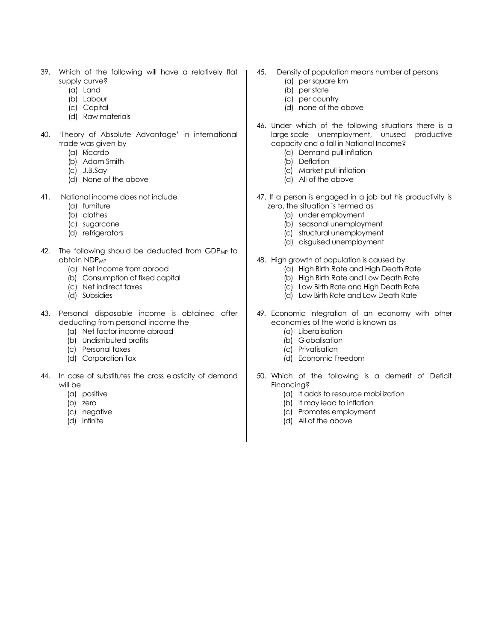- 39. Which of the following will have a relatively flat supply curve?
	- (a) Land
	- (b) Labour
	- (c) Capital
	- (d) Raw materials
- 40. "Theory of Absolute Advantage" in international trade was given by
	- (a) Ricardo
	- (b) Adam Smith
	- (c) J.B.Say
	- (d) None of the above
- 41. National income does not include
	- (a) furniture
	- (b) clothes
	- (c) sugarcane
	- (d) refrigerators
- 42. The following should be deducted from GDP<sub>MP</sub> to obtain NDP<sub>MP</sub>
	- (a) Net Income from abroad
	- (b) Consumption of fixed capital
	- (c) Net indirect taxes
	- (d) Subsidies
- 43. Personal disposable income is obtained after deducting from personal income the
	- (a) Net factor income abroad
	- (b) Undistributed profits
	- (c) Personal taxes
	- (d) Corporation Tax
- 44. In case of substitutes the cross elasticity of demand will be
	- (a) positive
	- (b) zero
	- (c) negative
	- (d) infinite
- 45. Density of population means number of persons
	- (a) per square km
	- (b) per state
	- (c) per country
	- (d) none of the above
- 46. Under which of the following situations there is a large-scale unemployment, unused productive capacity and a fall in National Income?
	- (a) Demand pull inflation
	- (b) Deflation
	- (c) Market pull inflation
	- (d) All of the above
- 47. If a person is engaged in a job but his productivity is zero, the situation is termed as
	- (a) under employment
	- (b) seasonal unemployment
	- (c) structural unemployment
	- (d) disguised unemployment
- 48. High growth of population is caused by
	- (a) High Birth Rate and High Death Rate
	- (b) High Birth Rate and Low Death Rate
	- (c) Low Birth Rate and High Death Rate
	- (d) Low Birth Rate and Low Death Rate
- 49. Economic integration of an economy with other economies of the world is known as
	- (a) Liberalisation
	- (b) Globalisation
	- (c) Privatisation
	- (d) Economic Freedom
- 50. Which of the following is a demerit of Deficit Financing?
	- (a) It adds to resource mobilization
	- (b) It may lead to inflation
	- (c) Promotes employment
	- (d) All of the above